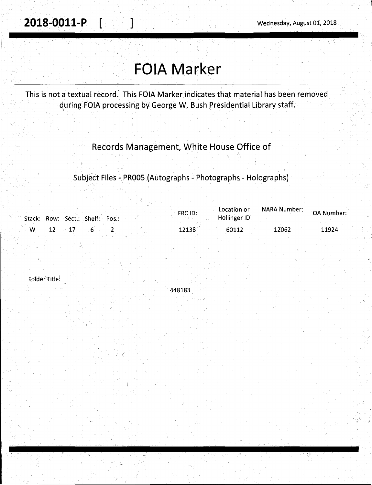# **FOIA Marker**

This is not a textual record: This FOIA Marker indicates that material has been removed during FOlA processing by George W. Bush presidential Library staff.

### Records Management, White House Office of

r

, Subject Files -PROOS (Autographs - Photographs - Holographs)

|   | Stack: Row: Sect.: Shelf: Pos.: | FRC ID: | Location or<br>Hollinger ID: | <b>NARA Number:</b> | OA Number: |
|---|---------------------------------|---------|------------------------------|---------------------|------------|
| M |                                 | 12138   | 60112                        | 12062               | 11924      |

Folder Title:

J

448183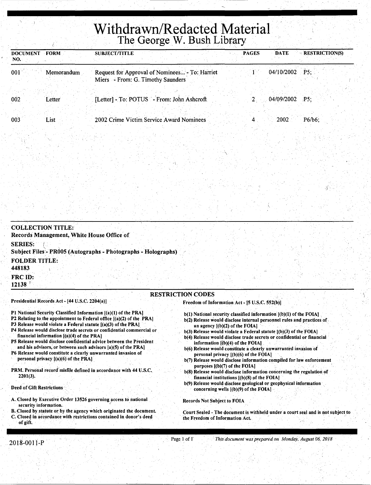## **Withdrawn/Redacted Material**  The George W. Bush Library

| <b>FORM</b><br><b>DOCUMENT</b><br>NO. | <b>PAGES</b><br><b>RESTRICTION(S)</b><br><b>DATE</b><br><b>SUBJECT/TITLE</b>                                           |
|---------------------------------------|------------------------------------------------------------------------------------------------------------------------|
| $ 001\rangle$<br>Memorandum           | 04/10/2002<br>$\overline{P5}$ :<br>Request for Approval of Nominees - To: Harriet<br>Miers - From: G. Timothy Saunders |
| 002<br>Letter                         | [Letter] - To: POTUS - From: John Ashcroft<br>04/09/2002<br>P5:                                                        |
| 003<br>List                           | 2002 Crime Victim Service Award Nominees<br>$P6/b6$ :<br>2002                                                          |

| Presidential Records Act - [44 U.S.C. 2204(a)].<br>P1 National Security Classified Information [(a)(1) of the PRA]<br>P2 Relating to the appointment to Federal office $[(a)(2)$ of the PRA<br>P3 Release would violate a Federal statute [(a)(3) of the PRA] | Freedom of Information Act - [5 U.S.C. 552(b)].<br>$b(1)$ National security classified information $[(b)(1)$ of the FOIA]<br>b(2) Release would disclose internal personnel rules and practices of<br>an agency $(1)(b)(2)$ of the FOIA. |
|---------------------------------------------------------------------------------------------------------------------------------------------------------------------------------------------------------------------------------------------------------------|------------------------------------------------------------------------------------------------------------------------------------------------------------------------------------------------------------------------------------------|
| <b>FRC ID:</b><br>12138                                                                                                                                                                                                                                       | <b>RESTRICTION CODES</b>                                                                                                                                                                                                                 |
| <b>FOLDER TITLE:</b><br>448183                                                                                                                                                                                                                                |                                                                                                                                                                                                                                          |
| <b>SERIES:</b><br>Subject Files - PR005 (Autographs - Photographs - Holographs)                                                                                                                                                                               |                                                                                                                                                                                                                                          |
| <b>COLLECTION TITLE:</b><br>Records Management, White House Office of                                                                                                                                                                                         |                                                                                                                                                                                                                                          |
|                                                                                                                                                                                                                                                               |                                                                                                                                                                                                                                          |

- PRM. Personal record" misfile defined in accordance with 44 U.S.C. 2201(3).
- Deed of Gift Restrictions
- A. Closed by Executive Order 13526 governing access to national security information.
- B. Closed by statute or by the agency which originated the document. C. Closed in accordance with restrictions contained in donor's deed of gift.

Court Sealed - The document is withheld under a court seal and is not subject to

b(8) Release would disclose information concerning the regulation of

b(9) Release would disclose geological or geophysical information .

financial institutions  $[(b)(8)$  of the FOIA]

concerning wells  $[(b)(9)$  of the FOIA]

Records Not Subject to FOIA

the Freedom of Information Act.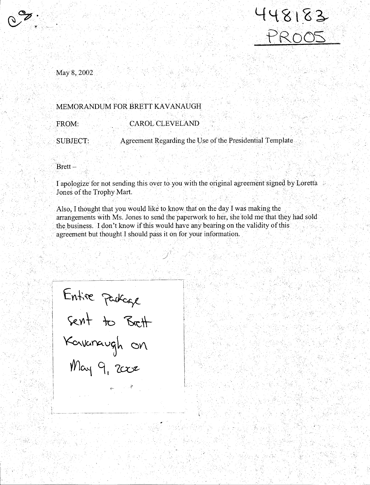

: '

May8,2002

#### \_MEMORANDUM FOR BRETT KAVANAUGH

#### FROM: CAROL CLEVELAND

SUBJECT: Agreement Regarding the Use of the Presidential Template

Brett-

' ,\_

I apologize for not sending this over to youwith the original agreement signed byLoretfa Jones of the Trophy Mart.

•. \*\*\*\*\*\*\*\*\*\*\*\*\*\*\*\*\*\*\*\*\*\*\*\*\*\*\*\*\*\*\*

Also, I thought that you would like to know that on the day I was making the arrangements with Ms. Jones to send the paperwork to her, she told me that they had sold the:business. I don't know if this would have any bearing on the validity of this agreement but thought I should pass it on foryour information .

> I  $_{\rm L}$

. I\_· ------~-------------------· -----~ j i postala na svoje postala na svoje postala na svoje postala na svoje postala na svoje postala na svoje post Entire package  $2kNT$  TO DICTT Kavanaugh on  $M$ ay 9,  $2c$ c $z$ 

--~·-------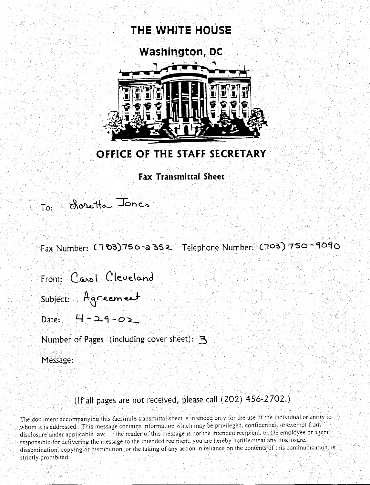

### OFFICE OF THE STAFF SECRETARY

### **Fax Transmittal Sheet**

To: Scretta Jones

Fax Number: (703)750-a352 Telephone Number: (703)750-9090

From: Carol Cleveland

Subject: Agreement

Date:  $4 - 29 - 05$ 

Number of Pages (including cover sheet): 3

Message:

### (If all pages are not received, please call (202) 456-2702.)

The document accompanying this facsimile transmittal sheet is intended only for the use of the individual or entity to whom it is addressed. This message contains information which may be privileged, confidential, or exempt from disclosure under applicable law. If the reader of this message is not the intended recipient, or the employee or agent. responsible for delivering the message to the intended recipient, you are hereby notified that any disclosure. dissemination, copying or distribution, or the taking of any action in reliance on the contents of this communication. is strictly prohibited.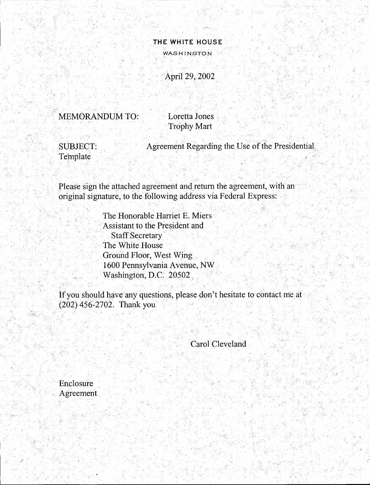### **THE WHITE HOUSE**  WASHINGTON

 $\sigma_{\rm e}$ 

### ·April 29,2002

MEMORANDUM TO: Loretta Jones

**Trophy Mart** 

Template

.SUBJECT: Agreement Regarding the Use of the Presidential

Please sign the attached agreement and return the agreement, with an original signature, to the following address via Federal Express:

> The Honorable Harriet E. Miers Assistant to the President and Staff Secretary The White House Ground Floor, West Wing .. 1600 Pennsylvania Avenue, NW ... Washington, D.C. 20502

If you should have any questions, please don't hesitate to contact me at  $(202)$  456-2702. Thank you

Carol Cleveland

)

**Enclosure** Agreement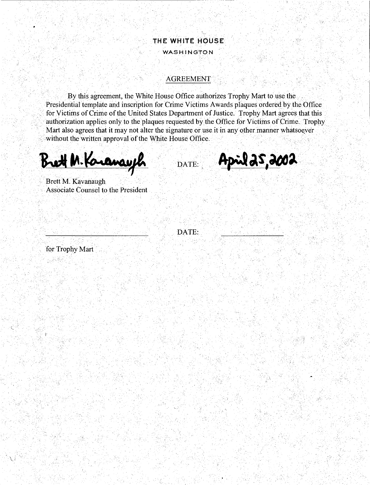### **THE WHITE HOUSE WASHINGTON**

#### **AGREEMENT**

By this agreement, the White House Office authorizes Trophy Mart to use the Presidential template and inscription for Crime Victims Awards plaques ordered by the Office for Victims of Crime of the United States Department of Justice. Trophy Mart agrees that this authorization applies only to the plaques requested by the Office for Victims of Crime. Trophy Mart also agrees that it may not alter the signature or use it in any other manner whatsoever without the written approval of the White House Office.

**Brett M. Karanay R** DATE:

April 25,2002

Brett M. Kavanaugh Associate Counsel to the President

DATE:

for Trophy Mart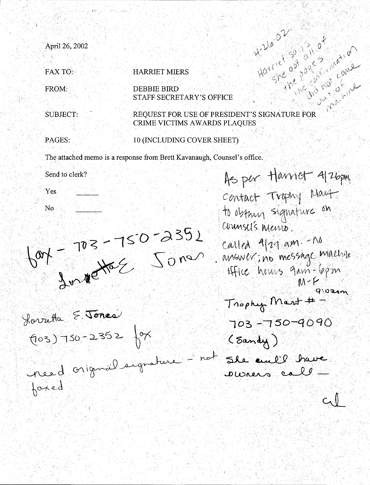Have a sale ·April 26, 2002 O<br>Since Conce FAX TO: SALE: HARRIET MIERS FROM: **DEBBIE BIRD** STAFF SECRETARY'S OFFICE  $\hat{N}$ REOUEST FOR USE OF PRESIDENT'S SIGNATURE FOR SUBJECT: **CRIME VICTIMS AWARDS PLAOUES** PAGES: 20 10 (INCLUDING COVER SHEET) The attached memo is a response from Brett Kavanaugh, Counsel's office. As per Harriet 4/26pm Send to clerk? ·Yes Contact Trophy Mast to obtain signature on No  $60r - 750252$ counsels menso. called 1/21 am. - no . answer; no message machine office hours gam-6pm  $9.02$ am Trophy Mart # Horretta E. Jones 703-750-9090  $(0.3) - 50 - 2352$   $87$  $($  Sandy  $)$ She and I have need original separature. coners call  $t_{\alpha}$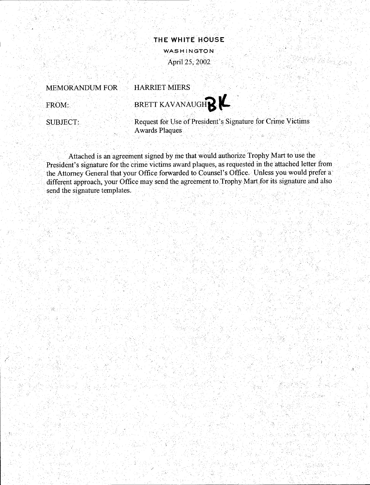

### MEMORANDUM FOR

#### HARRIET MIERS

FROM:

/ I



SUBJECT:

Request for Use of President's Signature for Crime Victims **Awards Plaques** 

Attached is an agreement signed by me that would authorize Trophy Mart to use the President's signature for the crime victims award plaques, as requested in the attached letter from the Attorney General that your Office forwarded to Counsel's Office. Unless you would prefer a different approach, your Office may send the agreement to Trophy Mart for its signature and also send the signature templates.

')

Pagin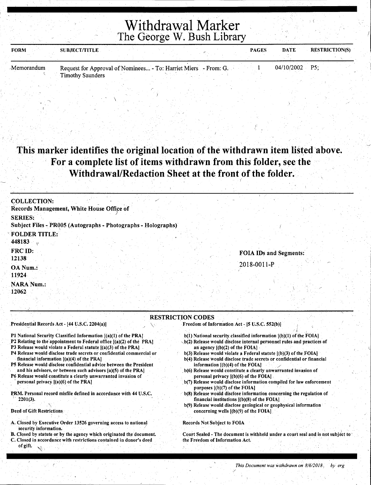Withdrawal Marker The George W. Bush Library

| <b>FORM</b> | SUBJECT/TITLE                                                   |  | <b>PAGES</b> | <b>DATE</b>      | <b>RESTRICTION(S)</b> |
|-------------|-----------------------------------------------------------------|--|--------------|------------------|-----------------------|
| Memorandum  | Request for Approval of Nominees - To: Harriet Miers - From: G. |  |              | $04/10/2002$ P5: |                       |
|             | <b>Timothy Saunders</b>                                         |  |              |                  |                       |

 $\setminus$ 

### This marker identifies the original location of the withdrawn item listed above. For a complete list of items withdrawn from this folder, see the Withdrawal/Redaction Sheet at the front of the folder.

| <b>COLLECTION:</b><br>Records Management, White House Office of                 |                               |
|---------------------------------------------------------------------------------|-------------------------------|
| <b>SERIES:</b><br>Subject Files - PR005 (Autographs - Photographs - Holographs) |                               |
| <b>FOLDER TITLE:</b><br>448183                                                  |                               |
| <b>FRC ID:</b><br>12138                                                         | <b>FOIA IDs and Segments:</b> |
| OA Num.:<br>11924                                                               | 2018-0011-P                   |
| <b>NARA Num.:</b><br>12062                                                      |                               |

#### RESTRICTION CODES

Presidential Records Act - [44 U.S.C. 2204(a)] Freedom of Information Act - [5 U.S.C. 552(b)]

- b(l) National security.classified information [(b)(l) of the FOIA)
- b(2) Release would disclose internal personnel rules and practices of an agency [(b)(2) of the FOIA]
- b(3) Release would violate a Federal statute [(b)(3) of the FOIA] b(4) Release would disclose trade secrets or confidential or financial
- information  $[(b)(4)$  of the FOIA] . b(6) Release would constitute a clearly unwarranted invasion of personal privacy [(b)(6) of the FOIA] .
- Release would disclose information compiled for law enforcement purposes  $[(b)(7)$  of the FOIA]
- b(8) Release would diselose information concerning the regulation of financial institutions [(b)(8) of the FOIA]
- b(9) Release would disclose geological or geophysical information concerning wells [(b)(9) of the FOIA]

#### Records Not Subject to FOIA

/

Court Sealed - The document is withheld under a court seal and is not subject to the Freedom of Information Act.

- Pl National Security Classified Information [(a)(l) of the PRA)
- P2 Relating to the appointment to Federal office [(a)(2) of the PRA]
- P3 Release would violate a Federal statute  $[(a)(3)$  of the PRA]
- P4 Release would disclose trade secrets or confidential commercial or financial information [(a)(4) of the PRA]
- PS Release would disclose confidential advice between the President and his advisors, or between such advisors [a)(S) of the PRA]
- P6 Release would constitute a clearly unwarranted invasion of personal privacy [(a)(6) of the PRA]
- PRM. Personal record misfile defined in accordance with 44 U.S.C.  $2201(3)$ .  $\overline{\mathbf{X}}$

#### Deed of Gift Restrictions

- A. Ciosed by Executive Order 13526 governing access to national security information.
- B. Closed by statute or by the agency which originated the document.
- C. Closed in accordance with restrictions contained in donor's deed of gift.

 $\cdot$  ).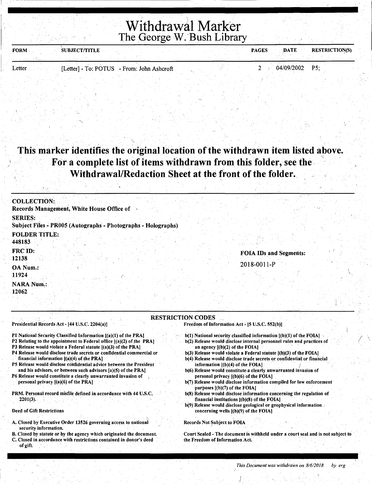## \ Withdrawal Marker The George W. Bush Library

| <b>FORM</b> | <b>SUBJECT/TITLE</b>                       |  | <b>PAGES</b> | DATE.          | <b>RESTRICTION(S)</b> |
|-------------|--------------------------------------------|--|--------------|----------------|-----------------------|
|             |                                            |  |              |                |                       |
| Letter      | [Letter] - To: POTUS - From: John Ashcroft |  |              | 04/09/2002 P5; |                       |

### This marker identifies the original location of the withdrawn item listed above. For a complete list of items withdrawn from this folder, see the Withdrawal/Redaction Sheet at the front of the folder.

| <b>COLLECTION:</b>             |                                                               |  |                               |  |
|--------------------------------|---------------------------------------------------------------|--|-------------------------------|--|
|                                | Records Management, White House Office of                     |  |                               |  |
| <b>SERIES:</b>                 | Subject Files - PR005 (Autographs - Photographs - Holographs) |  |                               |  |
| <b>FOLDER TITLE:</b><br>448183 |                                                               |  |                               |  |
| FRC ID:<br>12138               |                                                               |  | <b>FOIA IDs and Segments:</b> |  |
| OA Num.<br>11924               |                                                               |  | 2018-0011-P                   |  |
| <b>NARA Num.:</b><br>12062     |                                                               |  |                               |  |

#### RESTRICTION CODES

Freedom of Information Act - [5 U.S.C. 552(b)]

- $b(1)$  National security classified information  $[(b)(1)$  of the FOIA $]$
- b(2) Release would disclose internal personnel rules and practices of an agency  $[(b)(2)$  of the FOIA}
- b(3) Release would violate a Federal statute [(b)(3) of the FOIA) b(4) Release would disclose trade secrets or confidential or financial information  $[(b)(4)$  of the FOIA]
- b(6). Release would constitute a clearly unwarranted invasion of personal privacy [(b)(6) of the FOL\)
- b(7) Release would disclose information compiled for law enforcement purposes [(b)(7) of the FOIA]
- b(8) Release would disclose information concerning the regulation of financial institutions  $[(b)(8)$  of the FOIA]
- b(9) Release would disclose geological or geophysical information. concerning wells [(b)(9) of the FOL\)

 $\int_{0}^{1}$ 

#### Records Not Subject to FOIA

Court Sealed - The document is withheld under a court seal and is not subject to the Freedom of Information Act.

#### Presidential Records Act - [44 U.S.C. 2204(a)]

PI National Security Classified Information [(a)(1) of the PRA]

- P2 Relating to the appointment to Federal office  $[(a)(2)$  of the PRA]
- P3 Release would violate a Federal statute [(a)(3) of the PRAJ
- P4 Release would disclose trade secrets or confidential commercial or financial information [(a)(4) of the PRA)
- P5 Release would disclose confidential advice between the President and his advisors, or between such advisors  $[a)(5)$  of the PRA]
- P6 Release would constitute a clearly unwarranted invasion of . personal privacy  $[(a)(6)$  of the PRA]
- PRM. Personal record misfile defined in accordance with 44 U.S.C. 2201(3).

#### Deed of Gift Restrictions

- A. Closed by Executive Order 13526 governing access to national security information.
- B. Closed by statute or by the agency which originated the document.
- C. Closed in accordance with restrietions contained in donor's deed of gift.

I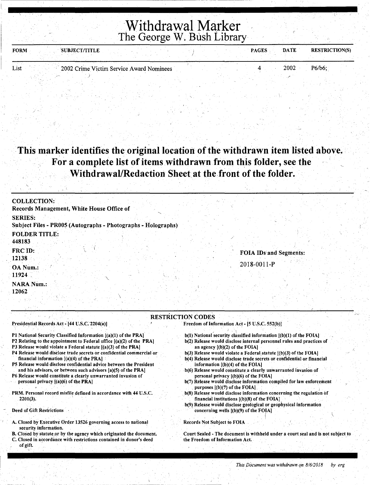### Withdrawal Marker The George W. Bush Library

| <b>FORM</b> | <b>SUBJECT/TITLE</b> |                                          | <b>PAGES</b> | <b>DATE</b> | <b>RESTRICTION(S)</b> |
|-------------|----------------------|------------------------------------------|--------------|-------------|-----------------------|
|             |                      |                                          |              |             |                       |
| List        |                      | 2002 Crime Victim Service Award Nominees |              | 2002        | $P6/b6$ :             |

### . This marker identifies the original location of the withdrawn item listed above. For a complete list of items withdrawn from this folder, see the Withdrawal/Redaction Sheet at the front of the folder.

| <b>COLLECTION:</b><br>Records Management, White House Office of |                          |                        |  |
|-----------------------------------------------------------------|--------------------------|------------------------|--|
| <b>SERIES:</b>                                                  |                          |                        |  |
| Subject Files - PR005 (Autographs - Photographs - Holographs)   |                          |                        |  |
| <b>FOLDER TITLE:</b><br>448183                                  |                          |                        |  |
| FRC ID:                                                         |                          | FOIA IDs and Segments: |  |
| 12138                                                           |                          |                        |  |
| OA Num.:                                                        |                          | 2018-0011-P            |  |
| 11924                                                           |                          |                        |  |
| <b>NARA Num.:</b><br>12062                                      |                          |                        |  |
|                                                                 |                          |                        |  |
|                                                                 | <b>RESTRICTION CODES</b> |                        |  |

Presidential Records Act - [44 U.S.C. 2204(a)]

P1 National Security Classified Information  $[(a)(1)$  of the PRA]

- P2 Relating to the appointment to Federal office [(a)(2) of the PRA)
- P3 Release would violate a Federal statute [(a)(3) of the PRA)
- P4 Release would disclose trade secrets or confidential commercial or financial information [(a)(4) of the PRA]

)

- PS Release would disclose confidential advice between the President and his advisors, or between such advisors [a)(S) of the PRA)
- P6 Release would constitute a clearly unwarranted invasion of personal privacy [(a)(6) of the PRA)
- PRM. Personal record misfile defined in accordance with 44 U.S.C. 2201(3).
- Deed of Gift Restrictions
- A. Closed by Executive Order 13526 governing access to national security information.
- B. Closed by statute,or by the agency which originated the document.
- Closed in accordance with restrictions contained in donor's deed of gift.

Freedom of Information Act - [5 U.S.C. 552(b)]

- $b(1)$  National security classified information  $[(b)(1)$  of the FOIA)
- b(2) Release would disclose internal personnel rules and practices of an agency [(b)(2) of the FOIA]
- $b(3)$  Release would violate a Federal statute  $[(b)(3)$  of the FOIA]
- b(4) Release would disclose trade secrets or confidential or financial information  $[(b)(4)$  of the FOIA]
- b(6) Release would constitute a clearly unwarranted invasion of personal privacy [(b)(6) of the FOIA]
- b(7) Release would disclose information compiled for law enforcement purposes  $[(b)(7)$  of the FOIA].
- b(8) Release would disclose information concerning the regulation of financial institutions  $[(b)(8)$  of the FOIA].
- b(9) Release would disclose geological or geophysical information ' concerning wells [(b)(9) of the FOIA) . . ( ) is the contribution of  $\mathcal{N}$  , and  $\mathcal{N}$  , and  $\mathcal{N}$  , and  $\mathcal{N}$

Records Not Subject to FOIA

Court Sealed -The document is withheld under a court seal and is not subject to the Freedom of Information Act.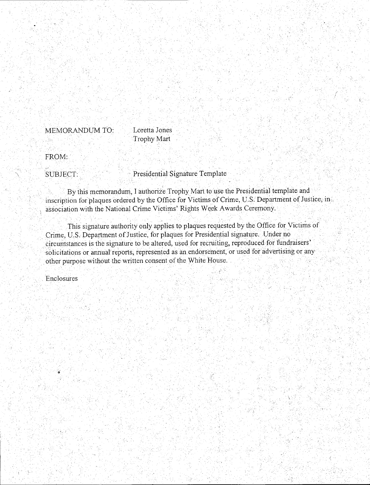Loretta Jones MEMORANDUM TO: Trophy Mart

FROM:

SUBJECT:

Presidential Signature Template

By this memorandum, I authorize Trophy Mart to use the Presidential template and inscription for plaques ordered by the Office for Victims of Crime, U.S. Department of Justice, in association with the National Crime Victims' Rights Week Awards Ceremony.

This signature authority only applies to plaques requested by the Office for Victims of Crime, U.S. Department of Justice, for plaques for Presidential signature. Under no circumstances is the signature to be altered, used for recruiting, reproduced for fundraisers' solicitations or annual reports, represented as an endorsement, or used for advertising or any other purpose without the written consent of the White House.

Enclosures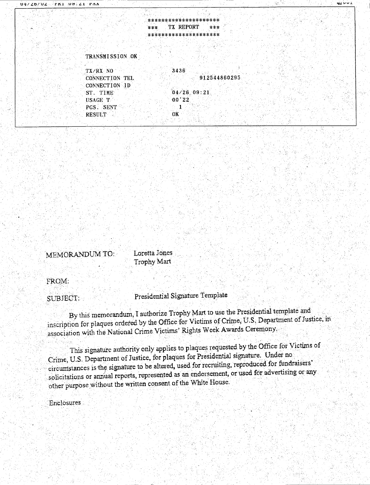#### \*\*\*\*\*\*\*\*\*\*\*\*\*\*\*\*\*\*\*\*\* TX REPORT \*\*\* \*\*\* \*\*\*\*\*\*\*\*\*\*\*\*\*\*\*\*\*\*\*\*

#### TRANSMISSION OK

| $TX/RX$ NO            | 3436  |               |              |
|-----------------------|-------|---------------|--------------|
| <b>CONNECTION TEL</b> |       |               | 912544860295 |
| CONNECTION ID         |       |               |              |
| ST. TIME              |       | $04/26$ 09:21 |              |
| USAGE T               | 00'22 |               |              |
| PGS. SENT             |       |               |              |
| <b>RESULT</b>         | OK    |               |              |
|                       |       |               |              |

MEMORANDUM TO:

Loretta Jones Trophy Mart

FROM:

SUBJECT:

Presidential Signature Template

By this memorandum, I authorize Trophy Mart to use the Presidential template and inscription for plaques ordered by the Office for Victims of Crime, U.S. Department of Justice, in association with the National Crime Victims' Rights Week Awards Ceremony.

This signature authority only applies to plaques requested by the Office for Victims of Crime, U.S. Department of Justice, for plaques for Presidential signature. Under no circumstances is the signature to be altered, used for recruiting, reproduced for fundraisers' solicitations or annual reports, represented as an endorsement, or used for advertising or any other purpose without the written consent of the White House.

Enclosures